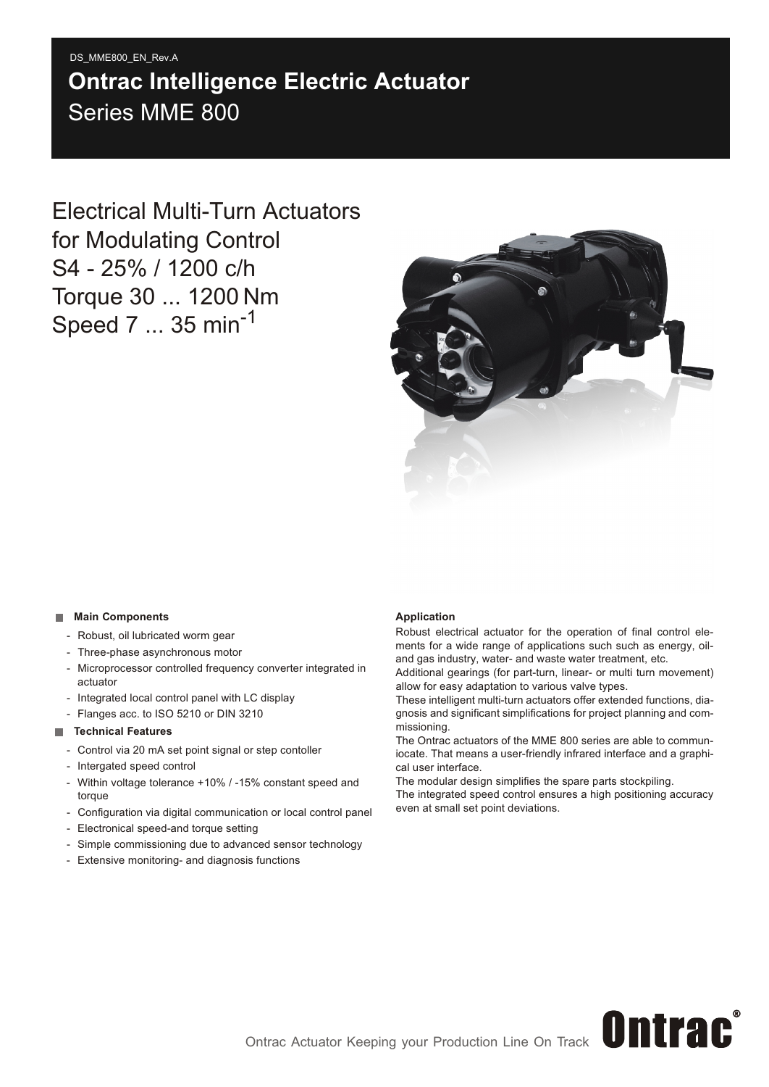# Series MME 800 DS\_MME800\_EN\_Rev.A **Ontrac Intelligence Electric Actuator**

Electrical Multi-Turn Actuators for Modulating Control S4 - 25% / 1200 c/h Torque 30 ... 1200 Nm Speed 7 ... 35 min<sup>-1</sup>



#### **Main Components**

- Robust, oil lubricated worm gear
- Three-phase asynchronous motor
- Microprocessor controlled frequency converter integrated in actuator
- Integrated local control panel with LC display
- Flanges acc. to ISO 5210 or DIN 3210

#### **Technical Features**

- Control via 20 mA set point signal or step contoller
- Intergated speed control
- Within voltage tolerance +10% / -15% constant speed and torque
- Configuration via digital communication or local control panel
- Electronical speed-and torque setting
- Simple commissioning due to advanced sensor technology
- Extensive monitoring- and diagnosis functions

#### **Application**

Robust electrical actuator for the operation of final control elements for a wide range of applications such such as energy, oiland gas industry, water- and waste water treatment, etc.

Additional gearings (for part-turn, linear- or multi turn movement) allow for easy adaptation to various valve types.

These intelligent multi-turn actuators offer extended functions, diagnosis and significant simplifications for project planning and commissioning.

The Ontrac actuators of the MME 800 series are able to communiocate. That means a user-friendly infrared interface and a graphical user interface.

The modular design simplifies the spare parts stockpiling.

The integrated speed control ensures a high positioning accuracy even at small set point deviations.

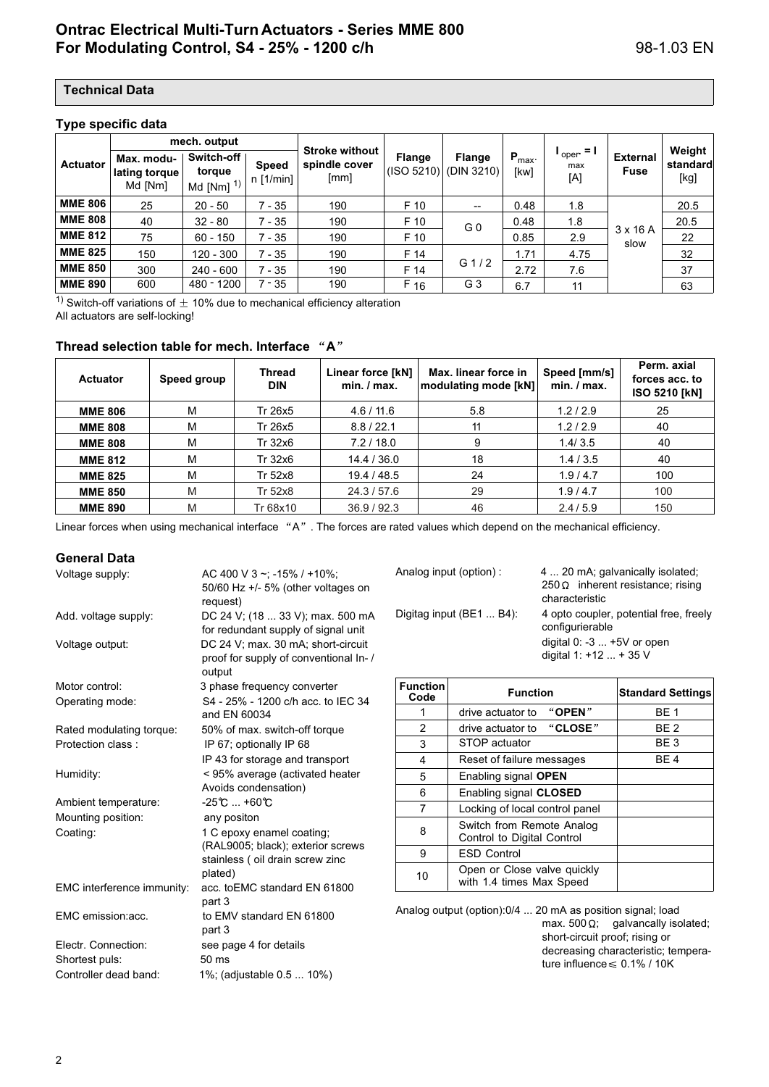#### **Type specific data**

|                 | mech. output                           |                                     |                             |                                                |                             |                             |                            |                                     |                                |                            |
|-----------------|----------------------------------------|-------------------------------------|-----------------------------|------------------------------------------------|-----------------------------|-----------------------------|----------------------------|-------------------------------------|--------------------------------|----------------------------|
| <b>Actuator</b> | Max. modu-<br>lating torque<br>Md [Nm] | Switch-off<br>torque<br>Md [Nm] $1$ | <b>Speed</b><br>$n$ [1/min] | <b>Stroke without</b><br>spindle cover<br>[mm] | <b>Flange</b><br>(ISO 5210) | <b>Flange</b><br>(DIN 3210) | $P_{\text{max}}$ .<br>[kw] | $I_{\text{oper}} = I$<br>max<br>[A] | <b>External</b><br><b>Fuse</b> | Weight<br>standard<br>[kg] |
| <b>MME 806</b>  | 25                                     | $20 - 50$                           | 7 - 35                      | 190                                            | F 10                        |                             | 0.48                       | 1.8                                 | $3 \times 16$ A<br>slow        | 20.5                       |
| <b>MME 808</b>  | 40                                     | $32 - 80$                           | 7 - 35                      | 190                                            | F 10                        | G <sub>0</sub>              | 0.48                       | 1.8                                 |                                | 20.5                       |
| <b>MME 812</b>  | 75                                     | $60 - 150$                          | 7 - 35                      | 190                                            | F 10                        |                             | 0.85                       | 2.9                                 |                                | 22                         |
| <b>MME 825</b>  | 150                                    | $120 - 300$                         | 7 - 35                      | 190                                            | F 14                        |                             | 1.71                       | 4.75                                |                                | 32                         |
| <b>MME 850</b>  | 300                                    | $240 - 600$                         | $7 - 35$                    | 190                                            | F 14                        | G $1/2$                     | 2.72                       | 7.6                                 |                                | 37                         |
| <b>MME 890</b>  | 600                                    | 480 - 1200                          | $7 - 35$                    | 190                                            | F 16                        | G 3                         | 6.7                        | 11                                  |                                | 63                         |

<sup>1)</sup> Switch-off variations of  $\pm$  10% due to mechanical efficiency alteration All actuators are self-locking!

#### Thread selection table for mech. Interface "A"

| <b>Actuator</b> | Speed group | Thread<br>Linear force [kN]<br>DIN |             | Max. linear force in<br>modulating mode [kN] | Speed [mm/s]<br>min. / max. | Perm. axial<br>forces acc. to<br><b>ISO 5210 [kN]</b> |  |
|-----------------|-------------|------------------------------------|-------------|----------------------------------------------|-----------------------------|-------------------------------------------------------|--|
| <b>MME 806</b>  | М           | Tr 26x5                            | 4.6 / 11.6  | 5.8                                          | 1.2/2.9                     | 25                                                    |  |
| <b>MME 808</b>  | M           | Tr 26x5                            | 8.8 / 22.1  | 11                                           | 1.2/2.9                     | 40                                                    |  |
| <b>MME 808</b>  | M           | Tr 32x6                            | 7.2/18.0    | 9                                            | 1.4/3.5                     | 40                                                    |  |
| <b>MME 812</b>  | M           | Tr 32x6                            | 14.4 / 36.0 | 18                                           | 1.4/3.5                     | 40                                                    |  |
| <b>MME 825</b>  | м           | Tr 52x8                            | 19.4 / 48.5 | 24                                           | 1.9/4.7                     | 100                                                   |  |
| <b>MME 850</b>  | M           | Tr 52x8                            | 24.3 / 57.6 | 29                                           | 1.9/4.7                     | 100                                                   |  |
| <b>MME 890</b>  | M           | Tr 68x10                           | 36.9 / 92.3 | 46                                           | 2.4/5.9                     | 150                                                   |  |

Linear forces when using mechanical interface "A". The forces are rated values which depend on the mechanical efficiency.

#### **General Data**

| Voltage supply:            | AC 400 V 3 ~; -15% / +10%;                         |
|----------------------------|----------------------------------------------------|
|                            | 50/60 Hz $+/-$ 5% (other voltages on<br>request)   |
| Add. voltage supply:       | DC 24 V; (18  33 V); max. 500 mA                   |
|                            | for redundant supply of signal unit                |
| Voltage output:            | DC 24 V; max. 30 mA; short-circuit                 |
|                            | proof for supply of conventional In-/<br>output    |
| Motor control:             | 3 phase frequency converter                        |
| Operating mode:            | S4 - 25% - 1200 c/h acc. to IEC 34<br>and EN 60034 |
| Rated modulating torque:   | 50% of max. switch-off torque                      |
| Protection class:          | IP 67; optionally IP 68                            |
|                            | IP 43 for storage and transport                    |
| Humidity:                  | < 95% average (activated heater                    |
|                            | Avoids condensation)                               |
| Ambient temperature:       | $-25^{\circ}$ C $$ +60 $^{\circ}$ C                |
| Mounting position:         | any positon                                        |
| Coating:                   | 1 C epoxy enamel coating;                          |
|                            | (RAL9005; black); exterior screws                  |
|                            | stainless (oil drain screw zinc                    |
|                            | plated)                                            |
| EMC interference immunity: | acc. to EMC standard EN 61800                      |
|                            | part 3                                             |
| EMC emission:acc.          | to EMV standard EN 61800<br>part 3                 |
| Electr. Connection:        | see page 4 for details                             |
| Shortest puls:             | $50 \text{ ms}$                                    |
| Controller dead band:      | 1%; (adjustable 0.5  10%)                          |

Analog input (option) : 4 ... 20 mA; galvanically isolated;  $250 \Omega$  inherent resistance; rising characteristic Digitag input (BE1 ... B4): 4 opto coupler, potential free, freely configurierable digital 0: -3 ... +5V or open digital 1: +12 ... + 35 V

| <b>Function</b><br>Code | <b>Function</b>                                         | <b>Standard Settings</b> |
|-------------------------|---------------------------------------------------------|--------------------------|
|                         | " $OPEN$ "<br>drive actuator to                         | BF 1                     |
| 2                       | drive actuator to "CLOSE"                               | BE <sub>2</sub>          |
| 3                       | STOP actuator                                           | BE 3                     |
| 4                       | Reset of failure messages                               | BE 4                     |
| 5                       | Enabling signal OPEN                                    |                          |
| 6                       | Enabling signal CLOSED                                  |                          |
| 7                       | Locking of local control panel                          |                          |
| 8                       | Switch from Remote Analog<br>Control to Digital Control |                          |
| 9                       | <b>ESD Control</b>                                      |                          |
| 10                      | Open or Close valve quickly<br>with 1.4 times Max Speed |                          |

Analog output (option):0/4 ... 20 mA as position signal; load max. 500  $\Omega$ ; galvancally isolated; short-circuit proof; rising or decreasing characteristic; temperature influence  $\leq 0.1\%$  / 10K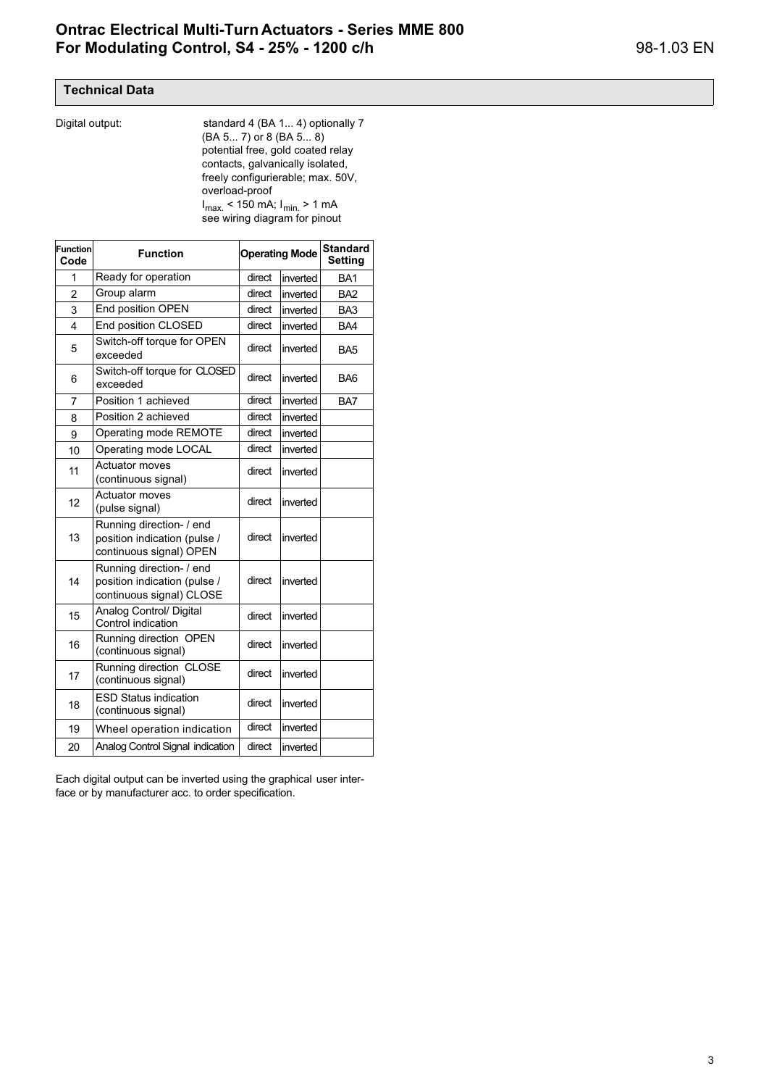Digital output: standard 4 (BA 1... 4) optionally 7 (BA 5... 7) or 8 (BA 5... 8) potential free, gold coated relay contacts, galvanically isolated, freely configurierable; max. 50V, overload-proof  $I_{\text{max}}$  < 150 mA;  $I_{\text{min}}$  > 1 mA see wiring diagram for pinout

| <b>Function</b><br>Code | <b>Function</b>                                                                      |        | <b>Operating Mode</b> | <b>Standard</b><br><b>Setting</b> |
|-------------------------|--------------------------------------------------------------------------------------|--------|-----------------------|-----------------------------------|
| 1                       | Ready for operation                                                                  | direct | inverted              | BA <sub>1</sub>                   |
| 2                       | Group alarm                                                                          | direct | inverted              | BA <sub>2</sub>                   |
| 3                       | End position OPEN                                                                    | direct | inverted              | BA <sub>3</sub>                   |
| 4                       | End position CLOSED                                                                  | direct | inverted              | BA4                               |
| 5                       | Switch-off torque for OPEN<br>exceeded                                               | direct | inverted              | BA <sub>5</sub>                   |
| 6                       | Switch-off torque for CLOSED<br>exceeded                                             | direct | inverted              | BA6                               |
| 7                       | Position 1 achieved                                                                  | direct | inverted              | BA7                               |
| 8                       | Position 2 achieved                                                                  | direct | inverted              |                                   |
| 9                       | Operating mode REMOTE                                                                | direct | inverted              |                                   |
| 10                      | Operating mode LOCAL                                                                 | direct | inverted              |                                   |
| 11                      | <b>Actuator moves</b><br>(continuous signal)                                         | direct | inverted              |                                   |
| 12                      | <b>Actuator moves</b><br>(pulse signal)                                              | direct | inverted              |                                   |
| 13                      | Running direction- / end<br>position indication (pulse /<br>continuous signal) OPEN  | direct | inverted              |                                   |
| 14                      | Running direction- / end<br>position indication (pulse /<br>continuous signal) CLOSE | direct | inverted              |                                   |
| 15                      | Analog Control/ Digital<br>Control indication                                        | direct | inverted              |                                   |
| 16                      | Running direction OPEN<br>(continuous signal)                                        | direct | inverted              |                                   |
| 17                      | Running direction CLOSE<br>(continuous signal)                                       | direct | inverted              |                                   |
| 18                      | <b>ESD Status indication</b><br>(continuous signal)                                  | direct | inverted              |                                   |
| 19                      | Wheel operation indication                                                           | direct | inverted              |                                   |
| 20                      | Analog Control Signal indication                                                     | direct | inverted              |                                   |

Each digital output can be inverted using the graphical user interface or by manufacturer acc. to order specification.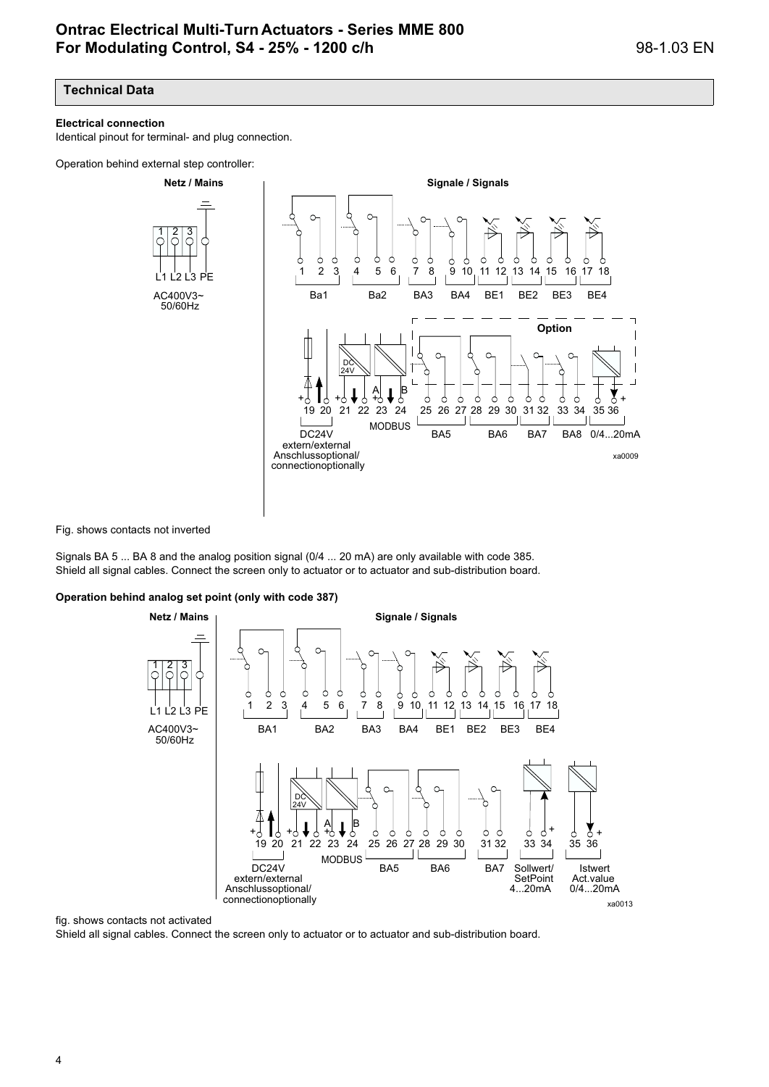#### **Electrical connection**

Identical pinout for terminal- and plug connection.

Operation behind external step controller:



Fig. shows contacts not inverted

Signals BA 5 ... BA 8 and the analog position signal (0/4 ... 20 mA) are only available with code 385. Shield all signal cables. Connect the screen only to actuator or to actuator and sub-distribution board.

#### **Operation behind analog set point (only with code 387)**

**Netz / Mains Signale / Signals** 1 2 3 Ċ ←  $\sqrt{2}$  $\frac{2}{3}$  6  $\frac{3}{7}$   $\frac{8}{9}$   $\frac{9}{10}$  11 12 13 14 15 16 17 18  $1 \t2 \t3 \t4$ L1 L3 L2 PE AC400V3~ BA1 BA2 BA3 BA4 BE1 BE2 BE3 BE4 50/60Hz  $\epsilon$ DC 24V A B + + + + 5 ♦ 9 + d 19 20 25 26 27 20 21 22 24 23 26 27 28 30 31 32 34 35 36 29 33 MODBUSDC24V BA5 BA6 BA7 Sollwert/ Istwert **SetPoint** extern/external Act.value 4...20mA Anschlussoptional/ 0/4...20mA connectionoptionally xa0013

#### fig. shows contacts not activated

Shield all signal cables. Connect the screen only to actuator or to actuator and sub-distribution board.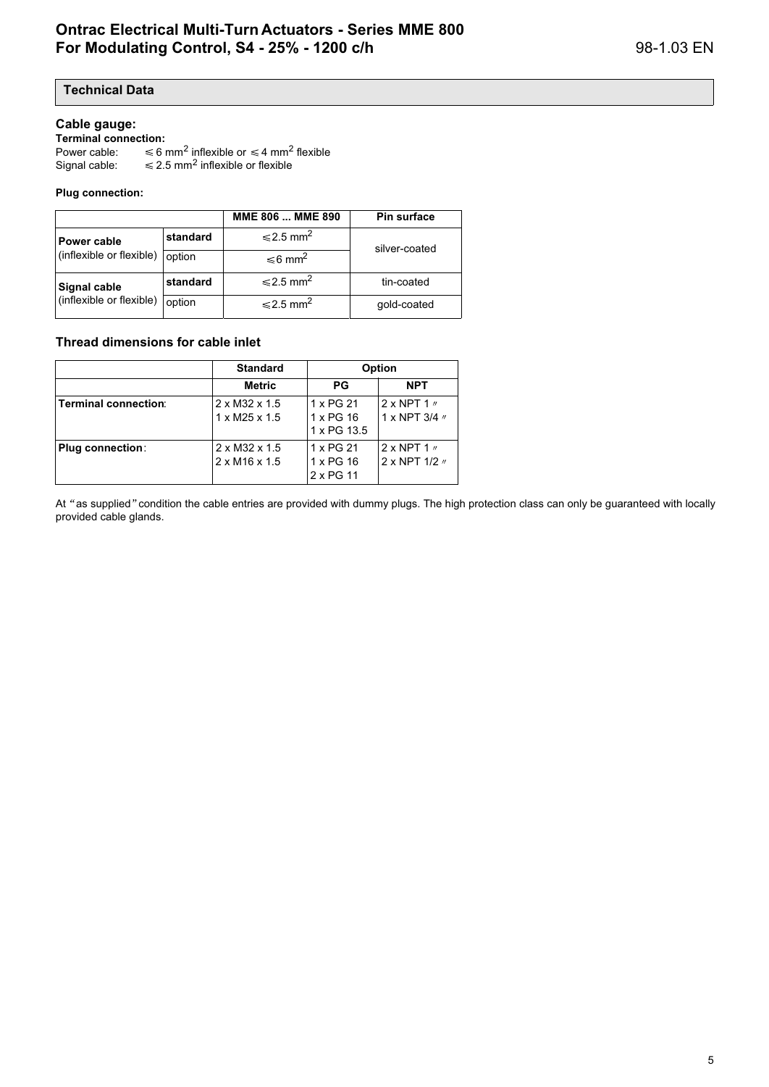#### **Cable gauge:**

**Terminal connection:** 

Power cable: inflexible or  $\leq 4$  mm<sup>2</sup> flexible Signal cable:  $\leq$  2.5 mm<sup>2</sup> inflexible or flexible

#### **Plug connection:**

|                          |          | MME 806  MME 890           | Pin surface   |
|--------------------------|----------|----------------------------|---------------|
| <b>Power cable</b>       | standard | $\leq 2.5$ mm <sup>2</sup> | silver-coated |
| (inflexible or flexible) | option   | ≤6 mm <sup>2</sup>         |               |
| Signal cable             | standard | $\leq 2.5$ mm <sup>2</sup> | tin-coated    |
| (inflexible or flexible) | option   | $\leq 2.5$ mm <sup>2</sup> | gold-coated   |

#### **Thread dimensions for cable inlet**

|                         | <b>Standard</b>                                        |                                       | <b>Option</b>                                         |
|-------------------------|--------------------------------------------------------|---------------------------------------|-------------------------------------------------------|
|                         | Metric                                                 | <b>PG</b>                             | <b>NPT</b>                                            |
| Terminal connection:    | $2 \times M32 \times 1.5$<br>$1 \times M25 \times 1.5$ | 1 x PG 21<br>1 x PG 16<br>1 x PG 13.5 | $2 \times$ NPT 1 $\prime\prime$<br>1 x NPT $3/4$ $''$ |
| <b>Plug connection:</b> | 2 x M32 x 1.5<br>$2 \times M16 \times 1.5$             | 1 x PG 21<br>1 x PG 16<br>2 x PG 11   | $2 \times$ NPT 1 $\prime\prime$<br>2 x NPT 1/2 //     |

At "as supplied" condition the cable entries are provided with dummy plugs. The high protection class can only be guaranteed with locally provided cable glands.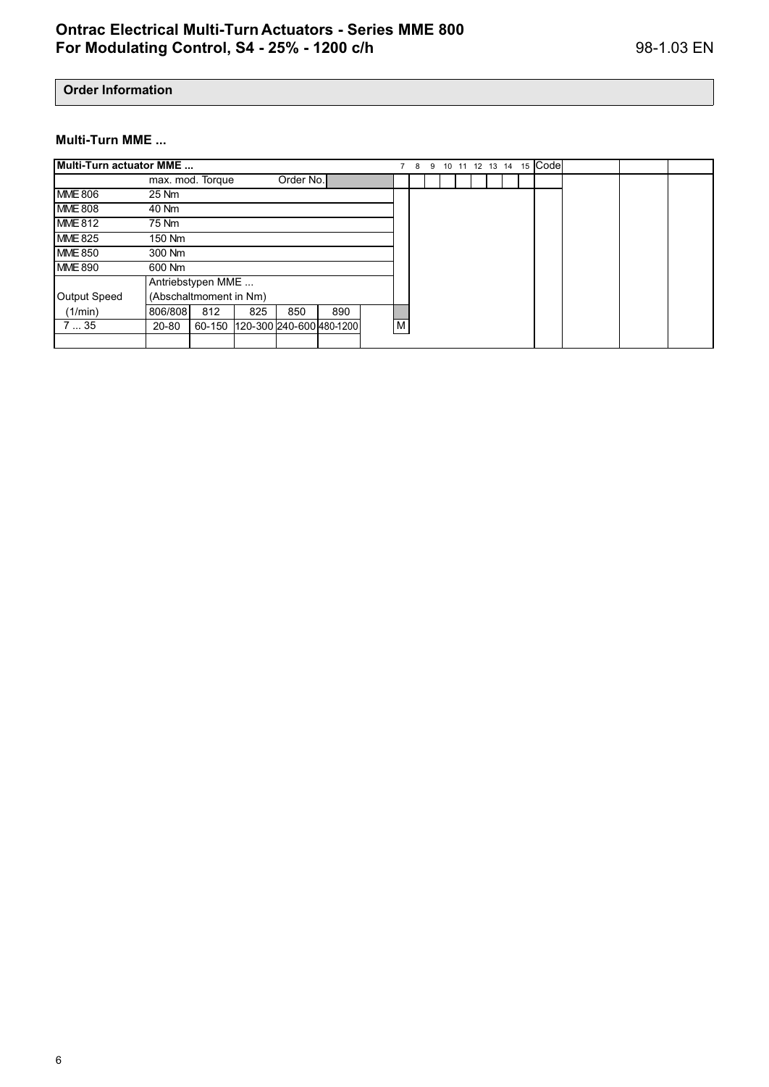## **Order Information**

### **Multi-Turn MME ...**

| Multi-Turn actuator MME |         |                        |     |           |                          |   | -8 | 9 |  | 10 11 12 13 14 |  | 15 | <b>Code</b> |  |  |
|-------------------------|---------|------------------------|-----|-----------|--------------------------|---|----|---|--|----------------|--|----|-------------|--|--|
|                         |         | max. mod. Torque       |     | Order No. |                          |   |    |   |  |                |  |    |             |  |  |
| <b>MME 806</b>          | 25 Nm   |                        |     |           |                          |   |    |   |  |                |  |    |             |  |  |
| <b>MME 808</b>          | 40 Nm   |                        |     |           |                          |   |    |   |  |                |  |    |             |  |  |
| <b>MME 812</b>          | 75 Nm   |                        |     |           |                          |   |    |   |  |                |  |    |             |  |  |
| <b>MME 825</b>          | 150 Nm  |                        |     |           |                          |   |    |   |  |                |  |    |             |  |  |
| <b>MME 850</b>          | 300 Nm  |                        |     |           |                          |   |    |   |  |                |  |    |             |  |  |
| <b>MME 890</b>          | 600 Nm  |                        |     |           |                          |   |    |   |  |                |  |    |             |  |  |
|                         |         | Antriebstypen MME      |     |           |                          |   |    |   |  |                |  |    |             |  |  |
| Output Speed            |         | (Abschaltmoment in Nm) |     |           |                          |   |    |   |  |                |  |    |             |  |  |
| (1/min)                 | 806/808 | 812                    | 825 | 850       | 890                      |   |    |   |  |                |  |    |             |  |  |
| 735                     | 20-80   | 60-150                 |     |           | 120-300 240-600 480-1200 | M |    |   |  |                |  |    |             |  |  |
|                         |         |                        |     |           |                          |   |    |   |  |                |  |    |             |  |  |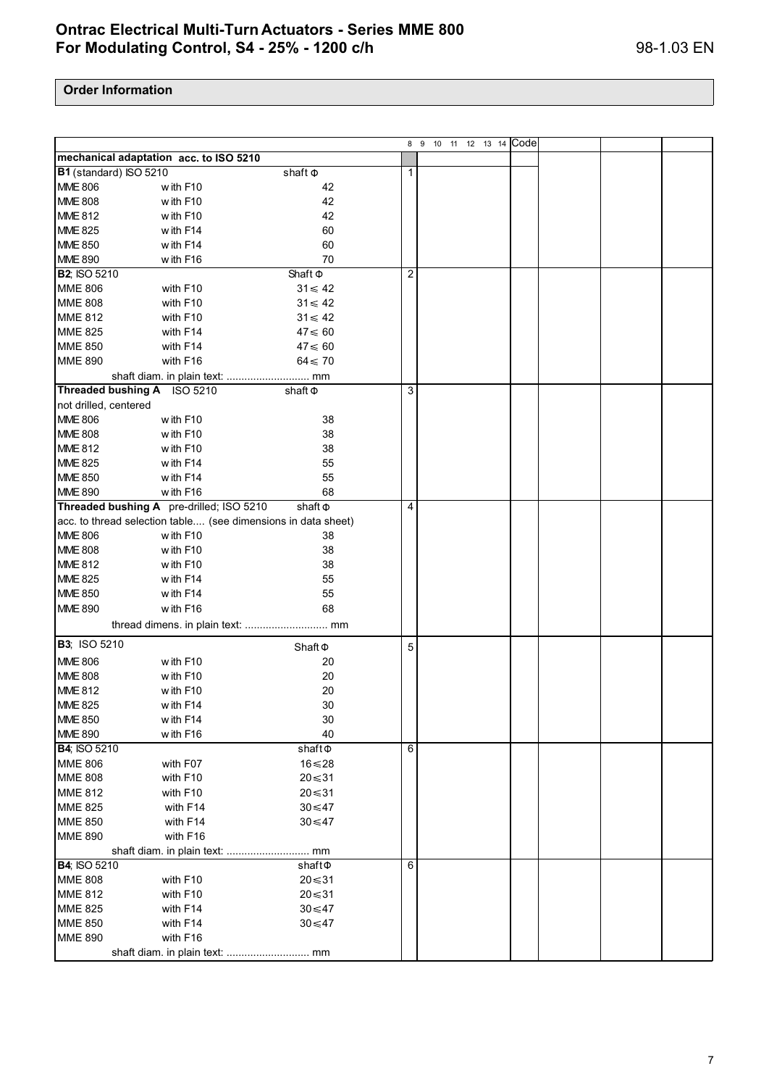|                                  |                                                                           |                   |                | 8 9 10 11 12 13 14 Code |  |  |
|----------------------------------|---------------------------------------------------------------------------|-------------------|----------------|-------------------------|--|--|
|                                  | mechanical adaptation acc. to ISO 5210                                    |                   |                |                         |  |  |
| B1 (standard) ISO 5210           |                                                                           | shaft $\Phi$      | 1              |                         |  |  |
| <b>MME 806</b>                   | with F10                                                                  | 42                |                |                         |  |  |
| <b>MME 808</b>                   | with F10                                                                  | 42                |                |                         |  |  |
| <b>MME 812</b>                   | with F10                                                                  | 42                |                |                         |  |  |
| <b>MME 825</b>                   | with F14                                                                  | 60                |                |                         |  |  |
| <b>MME 850</b>                   | with F14                                                                  | 60                |                |                         |  |  |
| <b>MME 890</b>                   | with F16                                                                  | 70                |                |                         |  |  |
| <b>B2; ISO 5210</b>              |                                                                           | Shaft $\Phi$      | $\overline{2}$ |                         |  |  |
| <b>MME 806</b>                   | with F10                                                                  | $31 \leqslant 42$ |                |                         |  |  |
| <b>MME 808</b>                   | with F10                                                                  | $31 \leqslant 42$ |                |                         |  |  |
| <b>MME 812</b>                   | with F10                                                                  | $31 \leqslant 42$ |                |                         |  |  |
| <b>MME 825</b>                   | with F14                                                                  | $47 \leqslant 60$ |                |                         |  |  |
| <b>MME 850</b>                   | with F14                                                                  | $47 \leq 60$      |                |                         |  |  |
| <b>MME 890</b>                   | with F16                                                                  | $64 \leq 70$      |                |                         |  |  |
|                                  | shaft diam. in plain text:  mm                                            |                   |                |                         |  |  |
|                                  | Threaded bushing A ISO 5210                                               | shaft $\Phi$      | 3              |                         |  |  |
| not drilled, centered            |                                                                           |                   |                |                         |  |  |
| <b>MME 806</b>                   | with F10                                                                  | 38                |                |                         |  |  |
| <b>MME 808</b>                   | with F10                                                                  | 38                |                |                         |  |  |
| <b>MME 812</b>                   | with F10                                                                  | 38                |                |                         |  |  |
| <b>MME 825</b>                   | with F14                                                                  | 55                |                |                         |  |  |
|                                  | with F14                                                                  | 55                |                |                         |  |  |
| <b>MME 850</b><br><b>MME 890</b> |                                                                           |                   |                |                         |  |  |
|                                  | with F16<br>Threaded bushing A pre-drilled; ISO 5210                      | 68                | 4              |                         |  |  |
|                                  |                                                                           | shaft $\Phi$      |                |                         |  |  |
| <b>MME 806</b>                   | acc. to thread selection table (see dimensions in data sheet)<br>with F10 | 38                |                |                         |  |  |
| <b>MME 808</b>                   | with F10                                                                  | 38                |                |                         |  |  |
|                                  |                                                                           | 38                |                |                         |  |  |
| <b>MME 812</b><br><b>MME 825</b> | with F10                                                                  |                   |                |                         |  |  |
|                                  | with F14<br>with F14                                                      | 55<br>55          |                |                         |  |  |
| <b>MME 850</b><br><b>MME 890</b> |                                                                           | 68                |                |                         |  |  |
|                                  | with F16                                                                  |                   |                |                         |  |  |
|                                  |                                                                           |                   |                |                         |  |  |
| <b>B3</b> ; ISO 5210             |                                                                           | $Shaft \Phi$      | 5              |                         |  |  |
| <b>MME 806</b>                   | with F10                                                                  | 20                |                |                         |  |  |
| <b>MME 808</b>                   | with F10                                                                  | 20                |                |                         |  |  |
| <b>MME 812</b>                   | with F10                                                                  | 20                |                |                         |  |  |
| <b>MME 825</b>                   | with F14                                                                  | 30                |                |                         |  |  |
| <b>MME 850</b>                   | with F14                                                                  | 30                |                |                         |  |  |
| <b>MME 890</b>                   | with F16                                                                  | 40                |                |                         |  |  |
| <b>B4; ISO 5210</b>              |                                                                           | shaft@            | 6              |                         |  |  |
| <b>MME 806</b>                   | with F07                                                                  | 16≤28             |                |                         |  |  |
| <b>MME 808</b>                   | with F10                                                                  | $20 \le 31$       |                |                         |  |  |
| <b>MME 812</b>                   | with F10                                                                  | $20 \le 31$       |                |                         |  |  |
| <b>MME 825</b>                   | with F14                                                                  | $30 \le 47$       |                |                         |  |  |
| <b>MME 850</b>                   | with F14                                                                  | $30 \le 47$       |                |                         |  |  |
| <b>MME 890</b>                   | with F16                                                                  |                   |                |                         |  |  |
|                                  |                                                                           |                   |                |                         |  |  |
| <b>B4; ISO 5210</b>              |                                                                           | shaft $\Phi$      | 6              |                         |  |  |
| <b>MME 808</b>                   | with F10                                                                  | $20 \le 31$       |                |                         |  |  |
| <b>MME 812</b>                   | with F10                                                                  | $20 \le 31$       |                |                         |  |  |
| <b>MME 825</b>                   | with F14                                                                  | $30 \le 47$       |                |                         |  |  |
| <b>MME 850</b>                   | with F14                                                                  | $30 \le 47$       |                |                         |  |  |
| <b>MME 890</b>                   | with F16                                                                  |                   |                |                         |  |  |
|                                  |                                                                           |                   |                |                         |  |  |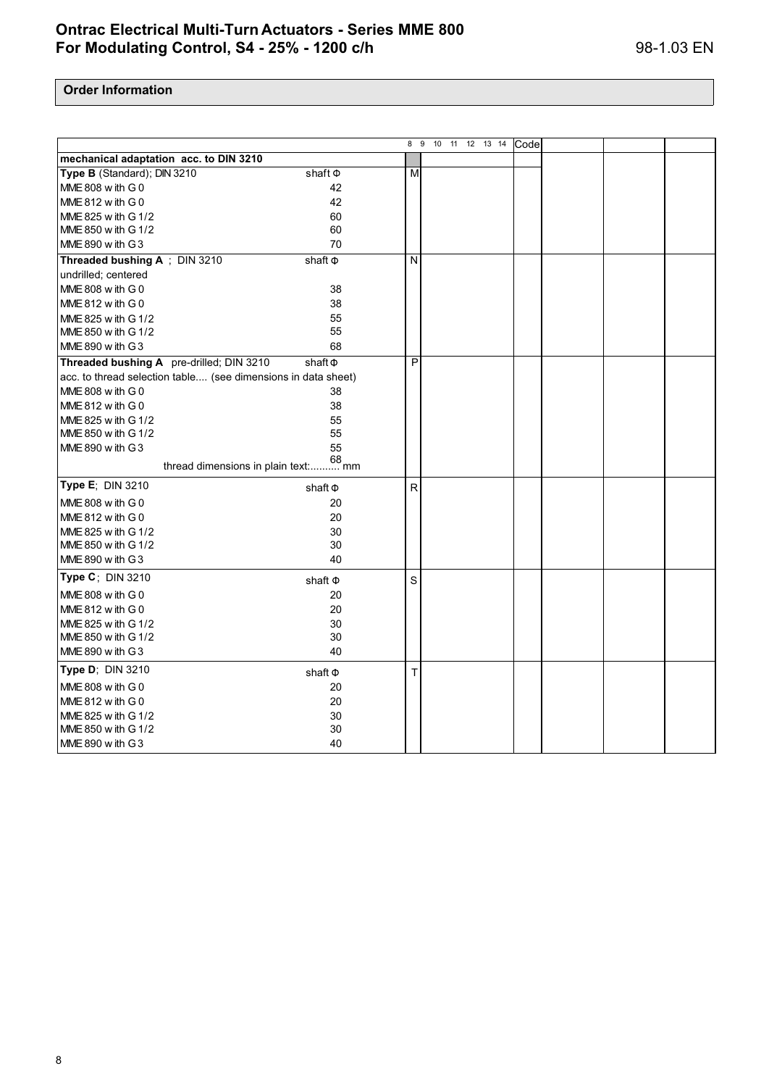|                                                               |              |              | 8 9 10<br>11 12 13 14 | Code |  |  |
|---------------------------------------------------------------|--------------|--------------|-----------------------|------|--|--|
| mechanical adaptation acc. to DIN 3210                        |              |              |                       |      |  |  |
| Type B (Standard); DIN 3210                                   | shaft $\Phi$ | M            |                       |      |  |  |
| MME 808 with G 0                                              | 42           |              |                       |      |  |  |
| MME 812 with G 0                                              | 42           |              |                       |      |  |  |
| MME 825 w ith G 1/2                                           | 60           |              |                       |      |  |  |
| MME 850 w ith G 1/2                                           | 60           |              |                       |      |  |  |
| MME 890 w ith G3                                              | 70           |              |                       |      |  |  |
| Threaded bushing A; DIN 3210                                  | shaft $\Phi$ | N            |                       |      |  |  |
| undrilled; centered                                           |              |              |                       |      |  |  |
| MME 808 with G 0                                              | 38           |              |                       |      |  |  |
| MME 812 with G 0                                              | 38           |              |                       |      |  |  |
| MME 825 w ith G 1/2                                           | 55           |              |                       |      |  |  |
| MME 850 w ith G 1/2                                           | 55           |              |                       |      |  |  |
| MME 890 w ith G3                                              | 68           |              |                       |      |  |  |
| Threaded bushing A pre-drilled; DIN 3210                      | shaft $\Phi$ | P            |                       |      |  |  |
| acc. to thread selection table (see dimensions in data sheet) |              |              |                       |      |  |  |
| MME 808 w ith G 0                                             | 38           |              |                       |      |  |  |
| MME 812 with G 0                                              | 38           |              |                       |      |  |  |
| MME 825 w ith G 1/2                                           | 55           |              |                       |      |  |  |
| MME 850 w ith G 1/2                                           | 55           |              |                       |      |  |  |
| MME 890 with G3                                               | 55           |              |                       |      |  |  |
| thread dimensions in plain text: mm                           |              |              |                       |      |  |  |
| Type E; DIN 3210                                              | shaft $\Phi$ | $\mathsf{R}$ |                       |      |  |  |
| MME 808 with G 0                                              | 20           |              |                       |      |  |  |
| MME 812 with G 0                                              | 20           |              |                       |      |  |  |
| MME 825 w ith G 1/2                                           | 30           |              |                       |      |  |  |
| MME 850 w ith G 1/2                                           | 30           |              |                       |      |  |  |
| MME 890 w ith G3                                              | 40           |              |                       |      |  |  |
| Type C; DIN 3210                                              | shaft $\Phi$ | S            |                       |      |  |  |
| MME 808 w ith G 0                                             | 20           |              |                       |      |  |  |
| MME $812$ with G 0                                            | 20           |              |                       |      |  |  |
| MME 825 w ith G 1/2                                           | 30           |              |                       |      |  |  |
| MME 850 w ith G 1/2                                           | 30           |              |                       |      |  |  |
| MME 890 with G3                                               | 40           |              |                       |      |  |  |
| Type D; DIN 3210                                              | shaft $\Phi$ | $\mathsf{T}$ |                       |      |  |  |
| MME 808 with G 0                                              | 20           |              |                       |      |  |  |
| MME 812 with G 0                                              | 20           |              |                       |      |  |  |
| MME 825 w ith G 1/2                                           | 30           |              |                       |      |  |  |
| MME 850 w ith G 1/2                                           | 30           |              |                       |      |  |  |
| MME 890 w ith G3                                              | 40           |              |                       |      |  |  |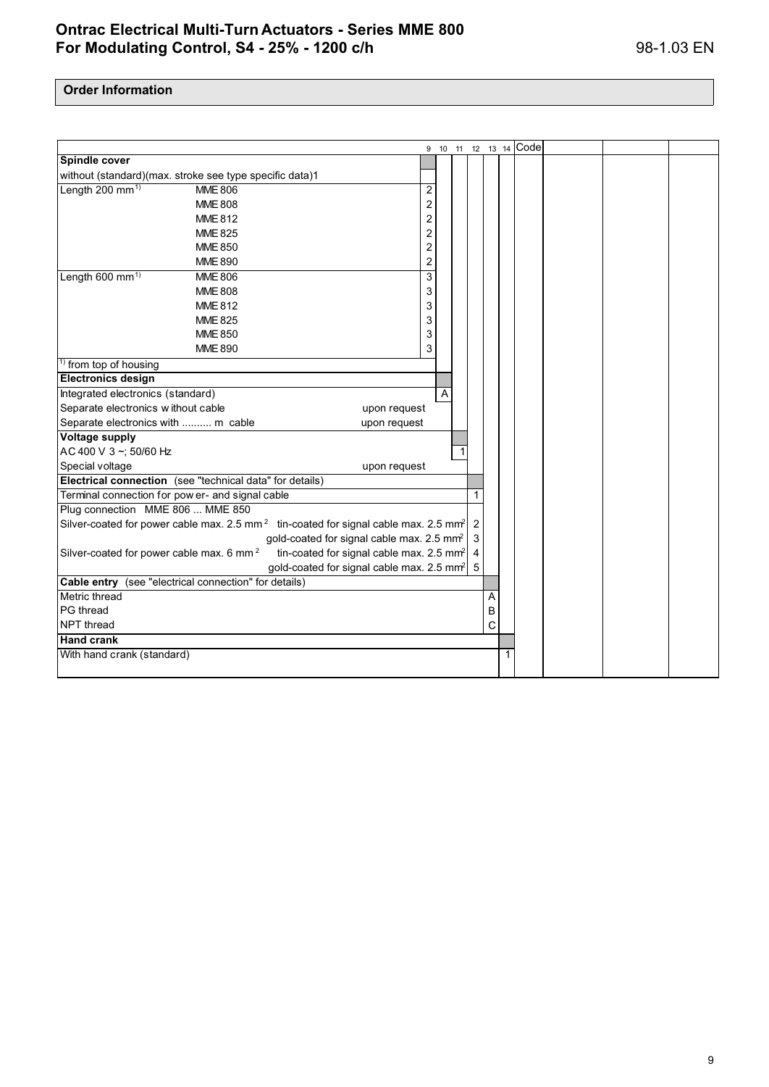|                                                                        |                                                                                                               |                         |   |                |   | 9 10 11 12 13 14 Code |  |  |
|------------------------------------------------------------------------|---------------------------------------------------------------------------------------------------------------|-------------------------|---|----------------|---|-----------------------|--|--|
| Spindle cover                                                          |                                                                                                               |                         |   |                |   |                       |  |  |
| without (standard)(max. stroke see type specific data)1                |                                                                                                               |                         |   |                |   |                       |  |  |
| Length 200 mm <sup>1)</sup>                                            | <b>MME 806</b>                                                                                                | 2                       |   |                |   |                       |  |  |
|                                                                        | <b>MME 808</b>                                                                                                | 2                       |   |                |   |                       |  |  |
|                                                                        | <b>MME 812</b>                                                                                                | $\overline{\mathbf{c}}$ |   |                |   |                       |  |  |
|                                                                        | <b>MME 825</b>                                                                                                | $\overline{\mathbf{c}}$ |   |                |   |                       |  |  |
|                                                                        | <b>MME 850</b>                                                                                                | $\overline{c}$          |   |                |   |                       |  |  |
|                                                                        | <b>MME 890</b>                                                                                                | 2                       |   |                |   |                       |  |  |
| Length 600 mm <sup>1)</sup>                                            | <b>MME 806</b>                                                                                                | 3                       |   |                |   |                       |  |  |
|                                                                        | <b>MME 808</b>                                                                                                | 3                       |   |                |   |                       |  |  |
|                                                                        | <b>MME 812</b>                                                                                                | 3                       |   |                |   |                       |  |  |
|                                                                        | <b>MME 825</b>                                                                                                | 3                       |   |                |   |                       |  |  |
|                                                                        | <b>MME 850</b>                                                                                                | 3                       |   |                |   |                       |  |  |
|                                                                        | <b>MME 890</b>                                                                                                | 3                       |   |                |   |                       |  |  |
| <sup>1)</sup> from top of housing                                      |                                                                                                               |                         |   |                |   |                       |  |  |
| <b>Electronics design</b>                                              |                                                                                                               |                         |   |                |   |                       |  |  |
| Integrated electronics (standard)                                      |                                                                                                               |                         | A |                |   |                       |  |  |
| Separate electronics w ithout cable                                    |                                                                                                               | upon request            |   |                |   |                       |  |  |
| Separate electronics with  m cable                                     |                                                                                                               | upon request            |   |                |   |                       |  |  |
| <b>Voltage supply</b>                                                  |                                                                                                               |                         |   |                |   |                       |  |  |
| AC 400 V 3~; 50/60 Hz                                                  |                                                                                                               |                         |   |                |   |                       |  |  |
| Special voltage                                                        |                                                                                                               | upon request            |   |                |   |                       |  |  |
|                                                                        | Electrical connection (see "technical data" for details)                                                      |                         |   |                |   |                       |  |  |
| Terminal connection for pow er- and signal cable                       |                                                                                                               |                         |   | 1              |   |                       |  |  |
| Plug connection MME 806  MME 850                                       |                                                                                                               |                         |   |                |   |                       |  |  |
|                                                                        | Silver-coated for power cable max. 2.5 mm <sup>2</sup> tin-coated for signal cable max. 2.5 mm <sup>2</sup> 2 |                         |   |                |   |                       |  |  |
|                                                                        | gold-coated for signal cable max. 2.5 mm <sup>2</sup>                                                         |                         |   | 3              |   |                       |  |  |
| Silver-coated for power cable max. 6 mm <sup>2</sup>                   | tin-coated for signal cable max. 2.5 mm <sup>2</sup>                                                          |                         |   | $\overline{4}$ |   |                       |  |  |
|                                                                        | gold-coated for signal cable max. 2.5 mm <sup>2</sup>                                                         |                         |   | 5              |   |                       |  |  |
| Cable entry (see "electrical connection" for details)<br>Metric thread |                                                                                                               |                         |   |                |   |                       |  |  |
| PG thread                                                              |                                                                                                               |                         |   |                | A |                       |  |  |
| NPT thread                                                             |                                                                                                               |                         |   |                | В |                       |  |  |
| <b>Hand</b> crank                                                      |                                                                                                               |                         |   |                | C |                       |  |  |
| With hand crank (standard)                                             |                                                                                                               |                         |   |                |   |                       |  |  |
|                                                                        |                                                                                                               |                         |   |                |   |                       |  |  |
|                                                                        |                                                                                                               |                         |   |                |   |                       |  |  |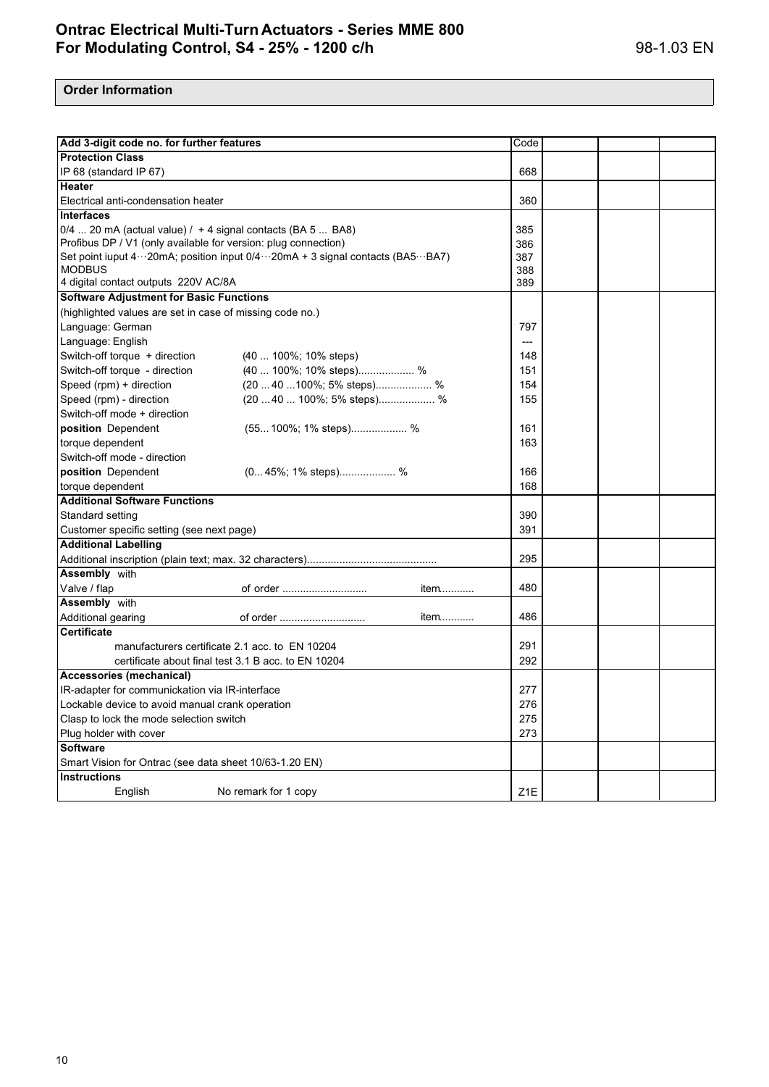| Add 3-digit code no. for further features                      |                                                                               | Code             |  |  |  |  |
|----------------------------------------------------------------|-------------------------------------------------------------------------------|------------------|--|--|--|--|
| <b>Protection Class</b>                                        |                                                                               |                  |  |  |  |  |
| IP 68 (standard IP 67)                                         |                                                                               | 668              |  |  |  |  |
| Heater                                                         |                                                                               |                  |  |  |  |  |
| Electrical anti-condensation heater                            |                                                                               | 360              |  |  |  |  |
| <b>Interfaces</b>                                              |                                                                               |                  |  |  |  |  |
|                                                                | 0/4  20 mA (actual value) / + 4 signal contacts (BA 5  BA8)                   |                  |  |  |  |  |
| Profibus DP / V1 (only available for version: plug connection) |                                                                               | 386              |  |  |  |  |
|                                                                | Set point iuput 4…20mA; position input 0/4…20mA + 3 signal contacts (BA5…BA7) | 387              |  |  |  |  |
| <b>MODBUS</b>                                                  |                                                                               | 388              |  |  |  |  |
| 4 digital contact outputs 220V AC/8A                           |                                                                               | 389              |  |  |  |  |
| <b>Software Adjustment for Basic Functions</b>                 |                                                                               |                  |  |  |  |  |
| (highlighted values are set in case of missing code no.)       |                                                                               |                  |  |  |  |  |
| Language: German                                               |                                                                               | 797              |  |  |  |  |
| Language: English                                              |                                                                               | ---              |  |  |  |  |
| Switch-off torque + direction                                  | $(40100\%;10\%$ steps)                                                        | 148              |  |  |  |  |
| Switch-off torque - direction                                  | (40  100%; 10% steps) %                                                       | 151              |  |  |  |  |
| Speed (rpm) + direction                                        | (20  40  100%; 5% steps) %                                                    | 154              |  |  |  |  |
| Speed (rpm) - direction                                        | $(2040100\%; 5\%$ steps) %                                                    | 155              |  |  |  |  |
| Switch-off mode + direction                                    |                                                                               |                  |  |  |  |  |
| position Dependent                                             | $(55100\%; 1\%$ steps) %                                                      | 161              |  |  |  |  |
| torque dependent                                               |                                                                               | 163              |  |  |  |  |
| Switch-off mode - direction                                    |                                                                               |                  |  |  |  |  |
| position Dependent                                             | (045%; 1% steps) %                                                            | 166              |  |  |  |  |
| torque dependent                                               |                                                                               | 168              |  |  |  |  |
| <b>Additional Software Functions</b>                           |                                                                               |                  |  |  |  |  |
| Standard setting                                               |                                                                               | 390              |  |  |  |  |
| Customer specific setting (see next page)                      |                                                                               | 391              |  |  |  |  |
| <b>Additional Labelling</b>                                    |                                                                               |                  |  |  |  |  |
|                                                                |                                                                               | 295              |  |  |  |  |
| <b>Assembly with</b>                                           |                                                                               |                  |  |  |  |  |
| Valve / flap                                                   | of order<br>item                                                              | 480              |  |  |  |  |
| <b>Assembly</b> with                                           |                                                                               |                  |  |  |  |  |
| Additional gearing                                             | item<br>of order                                                              | 486              |  |  |  |  |
| <b>Certificate</b>                                             |                                                                               |                  |  |  |  |  |
| manufacturers certificate 2.1 acc. to EN 10204                 |                                                                               | 291              |  |  |  |  |
| certificate about final test 3.1 B acc. to EN 10204            |                                                                               | 292              |  |  |  |  |
| Accessories (mechanical)                                       |                                                                               |                  |  |  |  |  |
| IR-adapter for communickation via IR-interface                 |                                                                               | 277              |  |  |  |  |
| Lockable device to avoid manual crank operation                | 276                                                                           |                  |  |  |  |  |
| Clasp to lock the mode selection switch                        | 275                                                                           |                  |  |  |  |  |
| Plug holder with cover                                         | 273                                                                           |                  |  |  |  |  |
| <b>Software</b>                                                |                                                                               |                  |  |  |  |  |
| Smart Vision for Ontrac (see data sheet 10/63-1.20 EN)         |                                                                               |                  |  |  |  |  |
| <b>Instructions</b>                                            |                                                                               | Z <sub>1</sub> E |  |  |  |  |
|                                                                | English<br>No remark for 1 copy                                               |                  |  |  |  |  |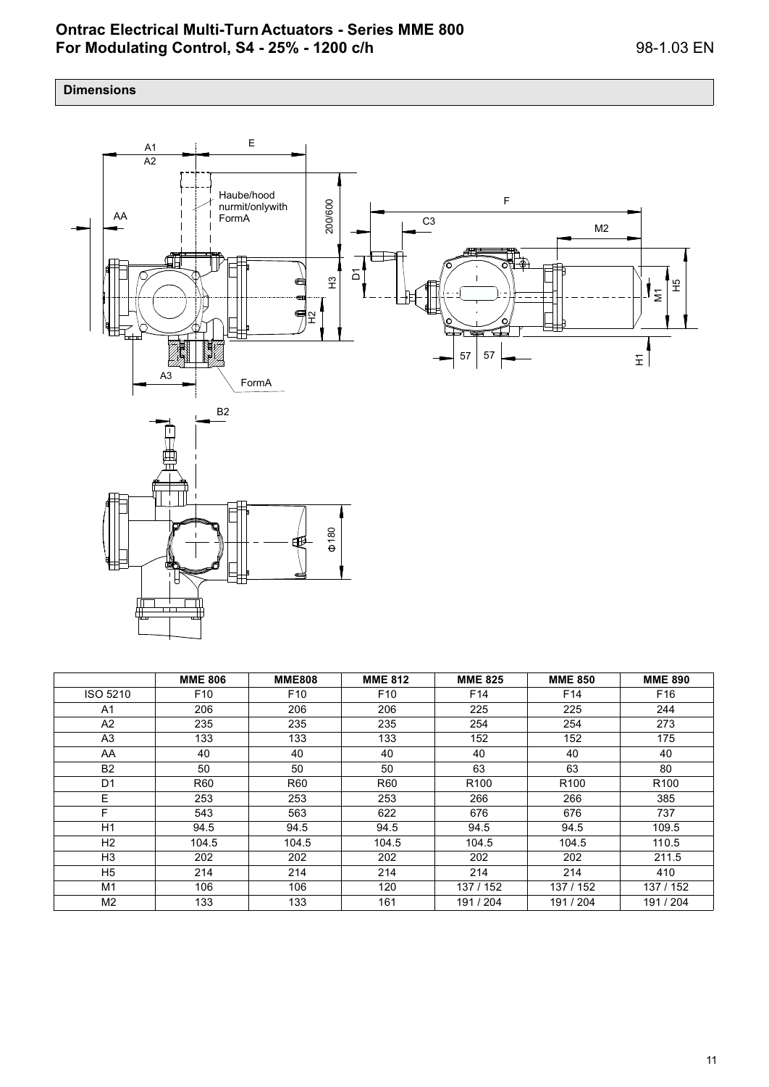## **Dimensions**



|                | <b>MME 806</b>  | <b>MME808</b>   | <b>MME 812</b>  | <b>MME 825</b>   | <b>MME 850</b>   | <b>MME 890</b>   |
|----------------|-----------------|-----------------|-----------------|------------------|------------------|------------------|
| ISO 5210       | F <sub>10</sub> | F <sub>10</sub> | F <sub>10</sub> | F <sub>14</sub>  | F <sub>14</sub>  | F <sub>16</sub>  |
| A1             | 206             | 206             | 206             | 225              | 225              | 244              |
| A2             | 235             | 235             | 235             | 254              | 254              | 273              |
| A3             | 133             | 133             | 133             | 152              | 152              | 175              |
| AA             | 40              | 40              | 40              | 40               | 40               | 40               |
| <b>B2</b>      | 50              | 50              | 50              | 63               | 63               | 80               |
| D1             | <b>R60</b>      | <b>R60</b>      | R60             | R <sub>100</sub> | R <sub>100</sub> | R <sub>100</sub> |
| E.             | 253             | 253             | 253             | 266              | 266              | 385              |
| F.             | 543             | 563             | 622             | 676              | 676              | 737              |
| H1             | 94.5            | 94.5            | 94.5            | 94.5             | 94.5             | 109.5            |
| H2             | 104.5           | 104.5           | 104.5           | 104.5            | 104.5            | 110.5            |
| H <sub>3</sub> | 202             | 202             | 202             | 202              | 202              | 211.5            |
| H5             | 214             | 214             | 214             | 214              | 214              | 410              |
| M1             | 106             | 106             | 120             | 137 / 152        | 137 / 152        | 137 / 152        |
| M2             | 133             | 133             | 161             | 191 / 204        | 191 / 204        | 191 / 204        |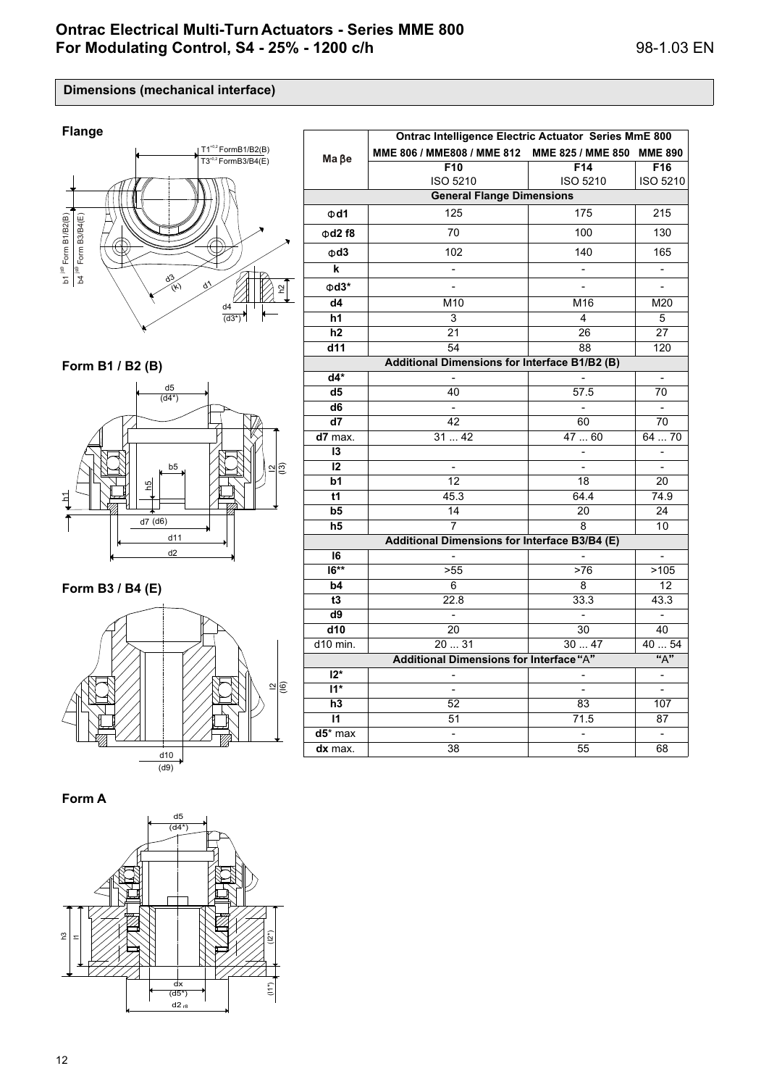**Dimensions (mechanical interface)**



**Form B1 / B2 (B)**



**Form B3 / B4 (E)**



**Form A**



|                                               | Ontrac Intelligence Electric Actuator Series MmE 800 |                                                                |                          |  |  |  |  |
|-----------------------------------------------|------------------------------------------------------|----------------------------------------------------------------|--------------------------|--|--|--|--|
| $Ma$ $Be$                                     | MME 806 / MME808 / MME 812                           | MME 825 / MME 850<br>F10<br>F14<br><b>ISO 5210</b><br>ISO 5210 | <b>MME 890</b>           |  |  |  |  |
|                                               |                                                      |                                                                | F16                      |  |  |  |  |
|                                               |                                                      |                                                                | <b>ISO 5210</b>          |  |  |  |  |
| <b>General Flange Dimensions</b>              |                                                      |                                                                |                          |  |  |  |  |
| $\Phi$ d1                                     | 125                                                  | 175                                                            | 215                      |  |  |  |  |
| $\Phi$ d2 f8                                  | 70                                                   | 100                                                            | 130                      |  |  |  |  |
| $\Phi$ d3                                     | 102                                                  | 140                                                            | 165                      |  |  |  |  |
| k                                             | $\overline{a}$                                       |                                                                | $\overline{\phantom{0}}$ |  |  |  |  |
| $\Phi$ d3*                                    |                                                      |                                                                | $\overline{a}$           |  |  |  |  |
| d4                                            | M <sub>10</sub>                                      | M16                                                            | M20                      |  |  |  |  |
| h1                                            | 3                                                    | 4                                                              | 5                        |  |  |  |  |
| h2                                            | 21                                                   | 26                                                             | 27                       |  |  |  |  |
| d11                                           | 54                                                   | 88                                                             | 120                      |  |  |  |  |
| Additional Dimensions for Interface B1/B2 (B) |                                                      |                                                                |                          |  |  |  |  |
| $d4*$                                         |                                                      |                                                                | $\overline{\phantom{0}}$ |  |  |  |  |
| d <sub>5</sub>                                | 40                                                   | 57.5                                                           | 70                       |  |  |  |  |
| $\overline{d6}$                               | $\frac{1}{2}$                                        | $\blacksquare$                                                 | $\blacksquare$           |  |  |  |  |
| d7                                            | 42                                                   | 60                                                             | 70                       |  |  |  |  |
| d7 max.                                       | 3142                                                 | 4760                                                           | 6470                     |  |  |  |  |
| 13                                            |                                                      |                                                                | -                        |  |  |  |  |
| 12                                            | $\overline{a}$                                       |                                                                | ÷,                       |  |  |  |  |
| $\overline{b1}$                               | $\overline{12}$                                      | 18                                                             | 20                       |  |  |  |  |
| t1                                            | 45.3                                                 | 64.4                                                           | 74.9                     |  |  |  |  |
| b5                                            | 14                                                   | 20                                                             | 24                       |  |  |  |  |
| h5                                            | 7                                                    | 8                                                              | 10                       |  |  |  |  |
| Additional Dimensions for Interface B3/B4 (E) |                                                      |                                                                |                          |  |  |  |  |
| 16                                            |                                                      |                                                                |                          |  |  |  |  |
| $\overline{16***}$                            | >55                                                  | >76                                                            | >105                     |  |  |  |  |
| b4                                            | 6                                                    | 8                                                              | 12                       |  |  |  |  |
| t3                                            | 22.8                                                 | 33.3                                                           | 43.3                     |  |  |  |  |
| $\overline{d9}$                               | $\frac{1}{2}$                                        | $\overline{\phantom{a}}$                                       | $\overline{\phantom{a}}$ |  |  |  |  |
| d10                                           | 20                                                   | 30                                                             | 40                       |  |  |  |  |
| d10 min.                                      | 20  31                                               | 3047                                                           | 40  54                   |  |  |  |  |
|                                               | Additional Dimensions for Interface "A"              |                                                                | "A"                      |  |  |  |  |
| $12*$                                         | $\overline{a}$                                       |                                                                | $\blacksquare$           |  |  |  |  |
| $\overline{11^*}$                             |                                                      |                                                                |                          |  |  |  |  |
| $\overline{h3}$                               | 52                                                   | 83                                                             | 107                      |  |  |  |  |
| $\mathsf{I}$                                  | 51                                                   | 71.5                                                           | 87                       |  |  |  |  |
| $d5$ * max                                    |                                                      |                                                                | -                        |  |  |  |  |
| dx max.                                       | 38                                                   | 55                                                             | 68                       |  |  |  |  |